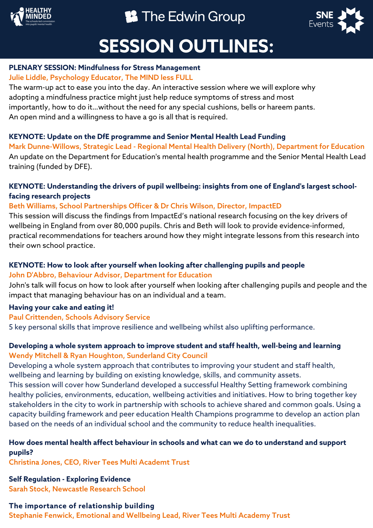

# <sup>8</sup> The Edwin Group



# **SESSION OUTLINES:**

### **PLENARY SESSION: Mindfulness for Stress Management**

# Julie Liddle, Psychology Educator, The MIND less FULL

The warm-up act to ease you into the day. An interactive session where we will explore why adopting a mindfulness practice might just help reduce symptoms of stress and most importantly, how to do it…without the need for any special cushions, bells or hareem pants. An open mind and a willingness to have a go is all that is required.

# **KEYNOTE: Update on the DfE programme and Senior Mental Health Lead Funding**

Mark Dunne-Willows, Strategic Lead - Regional Mental Health Delivery (North), Department for Education An update on the Department for Education's mental health programme and the Senior Mental Health Lead training (funded by DFE).

## **KEYNOTE: Understanding the drivers of pupil wellbeing: insights from one of England's largest schoolfacing research projects**

# Beth Williams, School Partnerships Officer & Dr Chris Wilson, Director, ImpactED

This session will discuss the findings from ImpactEd's national research focusing on the key drivers of wellbeing in England from over 80,000 pupils. Chris and Beth will look to provide evidence-informed, practical recommendations for teachers around how they might integrate lessons from this research into their own school practice.

### **KEYNOTE: How to look after yourself when looking after challenging pupils and people** John D'Abbro, Behaviour Advisor, Department for Education

John's talk will focus on how to look after yourself when looking after challenging pupils and people and the impact that managing behaviour has on an individual and a team.

## **Having your cake and eating it!**

## Paul Crittenden, Schools Advisory Service

5 key personal skills that improve resilience and wellbeing whilst also uplifting performance.

# **Developing a whole system approach to improve student and staff health, well-being and learning** Wendy Mitchell & Ryan Houghton, Sunderland City Council

Developing a whole system approach that contributes to improving your student and staff health, wellbeing and learning by building on existing knowledge, skills, and community assets. This session will cover how Sunderland developed a successful Healthy Setting framework combining healthy policies, environments, education, wellbeing activities and initiatives. How to bring together key stakeholders in the city to work in partnership with schools to achieve shared and common goals. Using a capacity building framework and peer education Health Champions programme to develop an action plan based on the needs of an individual school and the community to reduce health inequalities.

# **How does mental health affect behaviour in schools and what can we do to understand and support pupils?**

Christina Jones, CEO, River Tees Multi Academt Trust

**Self Regulation - Exploring Evidence**

Sarah Stock, Newcastle Research School

# **The importance of relationship building**

Stephanie Fenwick, Emotional and Wellbeing Lead, River Tees Multi Academy Trust